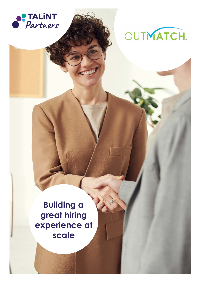



# **Building a great hiring experience at scale**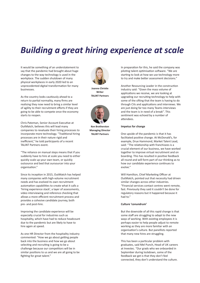## *Building a great hiring experience at scale*

It would be something of an understatement to say that the pandemic had brought about huge changes to the way technology is used in the workplace. The sudden shutdown of many physical workplaces in early 2020 led to an unprecedented digital transformation for many businesses.

As the country looks cautiously ahead to a return to partial normality, many firms are realising they now need to bring a similar level of agility to their recruitment efforts if they are going to be able to compete once the economy starts to reopen.

Chris Pateman, Senior Account Executive at OutMatch, believes this will lead many companies to revaluate their hiring processes to incorporate more technology. "Traditional hiring processes are in their nature rigid and inefficient," he told participants of a recent TALiNT Partners event.

"The reliance on manual steps means that if you suddenly have to hire at scale you need to either quickly scale up your own team, or quickly outsource and bed that oursourcer into your organisation."

Since its inception in 2015, OutMatch has helped many companies with high-volume recruitment needs and has evolved its own recruitment automation capabilities to create what it calls a 'hiring experience stack', a layer of assessments, video interviewing and reference checking that allows a more efficient recruitment process and provides a cohesive candidate journey, both pre- and post-hire.

Improving the candidate experience will be especially crucial for industries such as hospitality, which have had to reduce headcount due to the pandemic but are likely to have to hire again at speed.

As one HR Director from the hospitality industry commented: "How we go about getting people back into the business and how we go about selecting and recruiting is going to be a challenge because our competitors will be in similar positions to us and we are all going to be fighting for great talent."



**Joanne Christie Writer TALiNT Partners**



**Ken Brotherston Managing Director TALiNT Partners**

In preparation for this, he said the company was piloting talent optimisation software. "We are starting to look at how we use technology more to try and make better assessment decisions."

Another Resourcing Leader in the construction industry said: ''Given the mass volume of applications we receive, we are looking at upgrading our recruiting technology to help with some of the sifting that the team is having to do through CVs and applications and interviews. We are just doing far too many Teams interviews and the team is in need of a break''. This sentiment was echoed by a number of attendees.

#### **Impetus for change**

One upside of the pandemic is that it has facilitated positive change. At McDonald's, for example, Drue Hammond, Market Talent Lead, said: ''The relationship with franchisees is a crucial element of our business, we have worked together to improve virtual recruitment and on boarding. This has resulted in positive feedback all round and will form part of our thinking as to how our candidate experience continues to evolve.''

Will Hamilton, Chief Marketing Officer at OutMatch, pointed out that necessity had driven similar changes across other industries. "Financial services contact centres went remote, fast. Previously they said it couldn't be done for regulatory reasons but it happened because it had to."

#### **Culture 'conundrum'**

But the downside of all this rapid change is that some staff are struggling to adapt to the new ways of working. With existing employees it is perhaps easier to help people adjust to remote working as they are more familiar with an organisation's culture. But panellists reported that many new hires are struggling.

This has been a particular problem with graduates, said Mel Punch, Head of UK careers at Investec. "Our grads who we onboarded in September during lockdown, some of the feedback we get is that they don't feel connected, they don't understand the culture.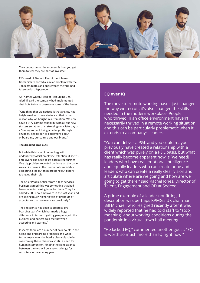

The conundrum at the moment is how you get them to feel they are part of Investec."

EY's Head of Student Recruitment James Gordanifar reported a similar problem with the 1,000 graduates and apprentices the firm had taken on last September.

At Thames Water, Head of Resourcing Ben Gledhill said the company had implemented chat bots to try to overcome some of the issues.

"One thing that we noticed is that anxiety has heightened with new starters so that is the reason why we bought in automation. We now have a 24/7 comms capability with all our new starters so rather than stressing on a Saturday or a Sunday and not being able to get through to anybody, people can ask questions about onboarding, our culture and our brand."

#### **The dreaded drop outs**

But while this type of technology will undoubtedly assist employee retention, it seems employers also need to go back a step further. One big problem reported by those on the panel was an increase in the number of candidates accepting a job but then dropping out before taking up their role.

The Chief People Officer from a tech services business agreed this was something that had become an increasing issue for them. They had added 5,000 new employees in the last year, and are seeing much higher levels of dropouts of acceptance than we ever saw previously."

Their response has been to create a 'preboarding team' which has made a huge difference in terms of getting people to join the business and not get cold feet between accepting and starting."

It seems there are a number of pain points in the hiring and onboarding processes and while technology can undoubtedly play a big role in overcoming these, there's also still a need for human intervention. Finding the right balance between the two will be a key challenge for recruiters in the coming year.

### **EQ over IQ**

The move to remote working hasn't just changed the way we recruit, it's also changed the skills needed in the modern workplace. People who thrived in an office environment haven't necessarily thrived in a remote working situation and this can be particularly problematic when it extends to a company's leaders.

"You can deliver a P&L and you could maybe previously have created a relationship with a client which was purely on a P&L basis, but what has really become apparent now is [we need] leaders who have real emotional intelligence and equally leaders who can create hope and leaders who can create a really clear vision and articulate where are we going and how are we going to get there," said Rachel Jones, Director of Talent, Engagement and OD at Sodexo.

A prime example of a leader not fitting this description was perhaps KPMG's UK chairman Bill Michael, who resigned recently after it was widely reported that he had told staff to "stop moaning" about working conditions during the pandemic in a virtual town hall meeting.

"He lacked EQ," commented another guest. "EQ is worth so much more than IQ right now."